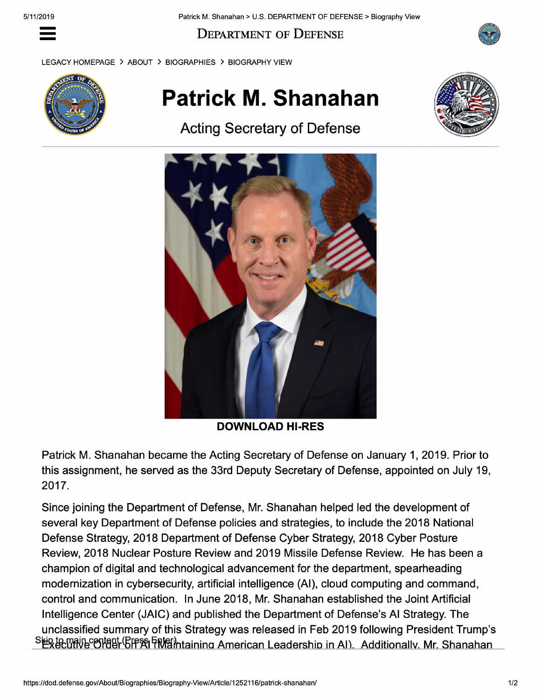Department of Defense

LEGACY HOMEPAGE > ABOUT > BIOGRAPHIES > BIOGRAPHY VIEW



## **Patrick M. Shanahan**

Acting Secretary of Defense





**DOWNLOAD HI-RES**

Patrick M. Shanahan became the Acting Secretary of Defense on January 1, 2019. Prior to this assignment, he served as the 33rd Deputy Secretary of Defense, appointed on July 19, 2017.

Since joining the Department of Defense, Mr. Shanahan helped led the development of several key Department of Defense policies and strategies, to include the 2018 National Defense Strategy, 2018 Department of Defense Cyber Strategy, 2018 Cyber Posture Review, 2018 Nuclear Posture Review and 2019 Missile Defense Review. He has been a champion of digital and technological advancement for the department, spearheading modernization in cybersecurity, artificial intelligence (Al), cloud computing and command, control and communication. In June 2018, Mr. Shanahan established the Joint Artificial Intelligence Center (JAIC) and published the Department of Defense's Al Strategy. The unclassified summary of this Strategy was released in Feb 2019 following President Trump's SER te main content (Bress Fing) htaining American Leadership in Al). Additionally Mr. Shanahan